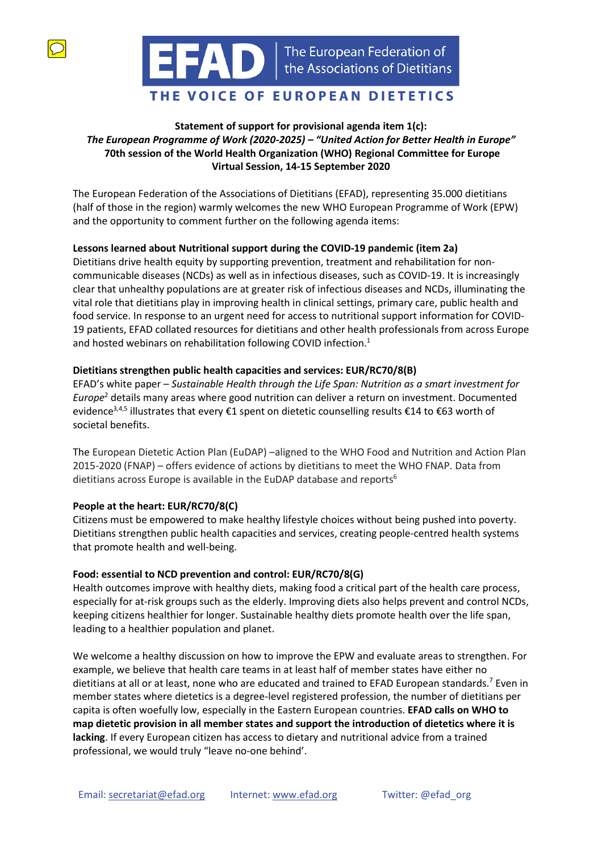

# THE VOICE OF EUROPEAN DIETETICS

## **Statement of support for provisional agenda item 1(c):**  *The European Programme of Work (2020-2025) – "United Action for Better Health in Europe"* **70th session of the World Health Organization (WHO) Regional Committee for Europe Virtual Session, 14-15 September 2020**

The European Federation of the Associations of Dietitians (EFAD), representing 35.000 dietitians (half of those in the region) warmly welcomes the new WHO European Programme of Work (EPW) and the opportunity to comment further on the following agenda items:

## **Lessons learned about Nutritional support during the COVID-19 pandemic (item 2a)**

Dietitians drive health equity by supporting prevention, treatment and rehabilitation for noncommunicable diseases (NCDs) as well as in infectious diseases, such as COVID-19. It is increasingly clear that unhealthy populations are at greater risk of infectious diseases and NCDs, illuminating the vital role that dietitians play in improving health in clinical settings, primary care, public health and food service. In response to an urgent need for access to nutritional support information for COVID-19 patients, EFAD collated resources for dietitians and other health professionals from across Europe and hosted webinars on rehabilitation following COVID infection.<sup>1</sup>

### **Dietitians strengthen public health capacities and services: EUR/RC70/8(B)**

EFAD's white paper – *Sustainable Health through the Life Span: Nutrition as a smart investment for Europe*<sup>2</sup> details many areas where good nutrition can deliver a return on investment. Documented evidence<sup>3,4,5</sup> illustrates that every €1 spent on dietetic counselling results €14 to €63 worth of societal benefits.

The European Dietetic Action Plan (EuDAP) –aligned to the WHO Food and Nutrition and Action Plan 2015-2020 (FNAP) – offers evidence of actions by dietitians to meet the WHO FNAP. Data from dietitians across Europe is available in the EuDAP database and reports<sup>6</sup>

## **People at the heart: EUR/RC70/8(C)**

Citizens must be empowered to make healthy lifestyle choices without being pushed into poverty. Dietitians strengthen public health capacities and services, creating people-centred health systems that promote health and well-being.

## **Food: essential to NCD prevention and control: EUR/RC70/8(G)**

Health outcomes improve with healthy diets, making food a critical part of the health care process, especially for at-risk groups such as the elderly. Improving diets also helps prevent and control NCDs, keeping citizens healthier for longer. Sustainable healthy diets promote health over the life span, leading to a healthier population and planet.

We welcome a healthy discussion on how to improve the EPW and evaluate areas to strengthen. For example, we believe that health care teams in at least half of member states have either no dietitians at all or at least, none who are educated and trained to EFAD European standards.<sup>7</sup> Even in member states where dietetics is a degree-level registered profession, the number of dietitians per capita is often woefully low, especially in the Eastern European countries. **EFAD calls on WHO to map dietetic provision in all member states and support the introduction of dietetics where it is lacking**. If every European citizen has access to dietary and nutritional advice from a trained professional, we would truly "leave no-one behind'.